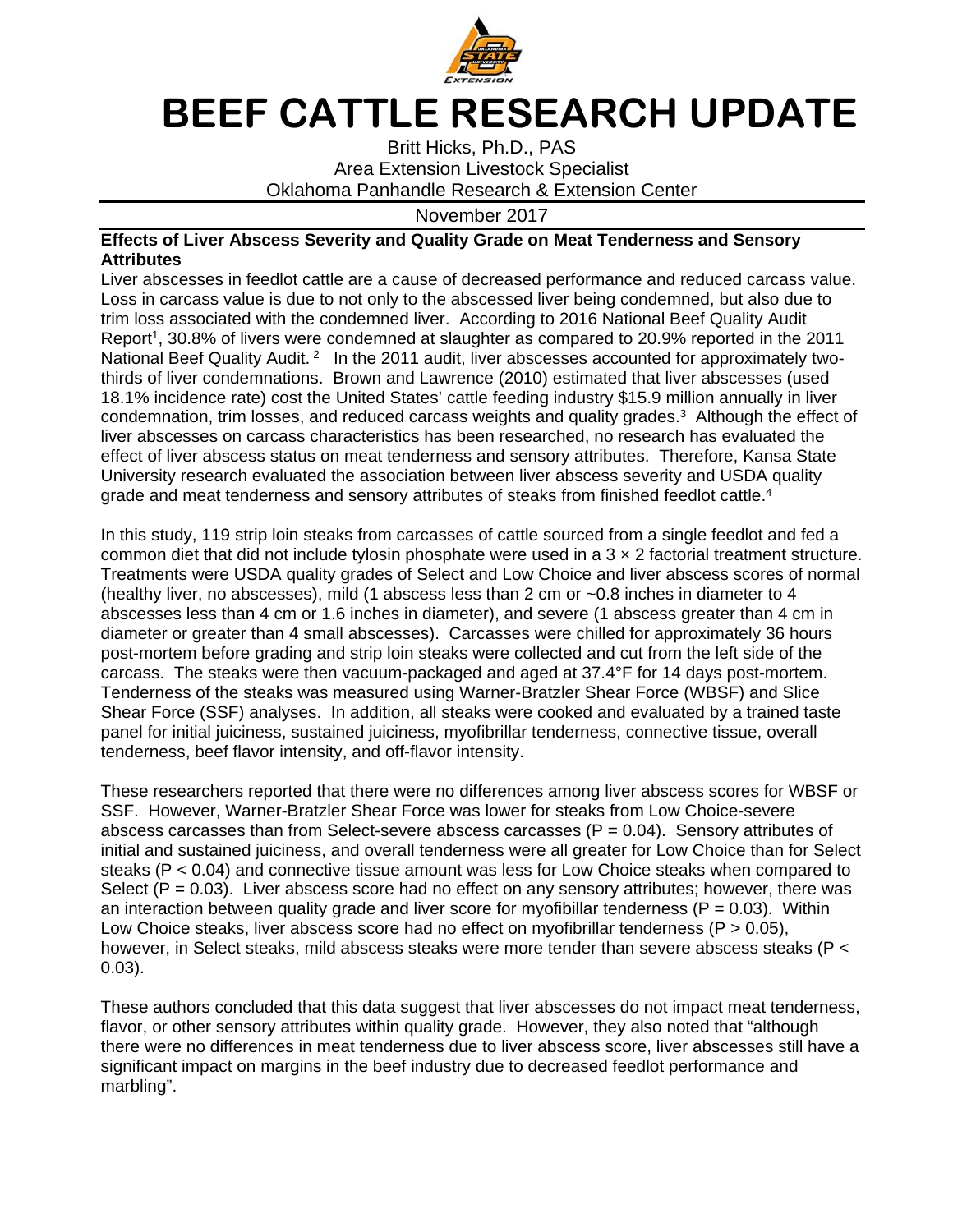

## **BEEF CATTLE RESEARCH UPDATE**

Britt Hicks, Ph.D., PAS Area Extension Livestock Specialist Oklahoma Panhandle Research & Extension Center

November 2017

## **Effects of Liver Abscess Severity and Quality Grade on Meat Tenderness and Sensory Attributes**

Liver abscesses in feedlot cattle are a cause of decreased performance and reduced carcass value. Loss in carcass value is due to not only to the abscessed liver being condemned, but also due to trim loss associated with the condemned liver. According to 2016 National Beef Quality Audit Report<sup>1</sup>, 30.8% of livers were condemned at slaughter as compared to 20.9% reported in the 2011 National Beef Quality Audit.<sup>2</sup> In the 2011 audit, liver abscesses accounted for approximately twothirds of liver condemnations. Brown and Lawrence (2010) estimated that liver abscesses (used 18.1% incidence rate) cost the United States' cattle feeding industry \$15.9 million annually in liver condemnation, trim losses, and reduced carcass weights and quality grades.3 Although the effect of liver abscesses on carcass characteristics has been researched, no research has evaluated the effect of liver abscess status on meat tenderness and sensory attributes. Therefore, Kansa State University research evaluated the association between liver abscess severity and USDA quality grade and meat tenderness and sensory attributes of steaks from finished feedlot cattle.<sup>4</sup>

In this study, 119 strip loin steaks from carcasses of cattle sourced from a single feedlot and fed a common diet that did not include tylosin phosphate were used in a  $3 \times 2$  factorial treatment structure. Treatments were USDA quality grades of Select and Low Choice and liver abscess scores of normal (healthy liver, no abscesses), mild (1 abscess less than 2 cm or  $\sim 0.8$  inches in diameter to 4 abscesses less than 4 cm or 1.6 inches in diameter), and severe (1 abscess greater than 4 cm in diameter or greater than 4 small abscesses). Carcasses were chilled for approximately 36 hours post-mortem before grading and strip loin steaks were collected and cut from the left side of the carcass. The steaks were then vacuum-packaged and aged at 37.4°F for 14 days post-mortem. Tenderness of the steaks was measured using Warner-Bratzler Shear Force (WBSF) and Slice Shear Force (SSF) analyses. In addition, all steaks were cooked and evaluated by a trained taste panel for initial juiciness, sustained juiciness, myofibrillar tenderness, connective tissue, overall tenderness, beef flavor intensity, and off-flavor intensity.

These researchers reported that there were no differences among liver abscess scores for WBSF or SSF. However, Warner-Bratzler Shear Force was lower for steaks from Low Choice-severe abscess carcasses than from Select-severe abscess carcasses  $(P = 0.04)$ . Sensory attributes of initial and sustained juiciness, and overall tenderness were all greater for Low Choice than for Select steaks (P < 0.04) and connective tissue amount was less for Low Choice steaks when compared to Select  $(P = 0.03)$ . Liver abscess score had no effect on any sensory attributes; however, there was an interaction between quality grade and liver score for myofibillar tenderness ( $P = 0.03$ ). Within Low Choice steaks, liver abscess score had no effect on myofibrillar tenderness  $(P > 0.05)$ , however, in Select steaks, mild abscess steaks were more tender than severe abscess steaks (P < 0.03).

These authors concluded that this data suggest that liver abscesses do not impact meat tenderness, flavor, or other sensory attributes within quality grade. However, they also noted that "although there were no differences in meat tenderness due to liver abscess score, liver abscesses still have a significant impact on margins in the beef industry due to decreased feedlot performance and marbling".